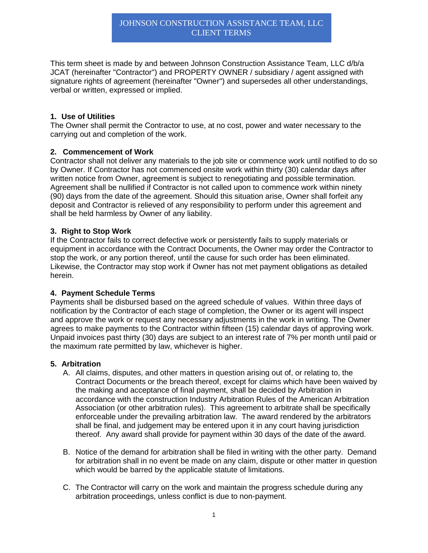This term sheet is made by and between Johnson Construction Assistance Team, LLC d/b/a JCAT (hereinafter "Contractor") and PROPERTY OWNER / subsidiary / agent assigned with signature rights of agreement (hereinafter "Owner") and supersedes all other understandings, verbal or written, expressed or implied.

### **1. Use of Utilities**

The Owner shall permit the Contractor to use, at no cost, power and water necessary to the carrying out and completion of the work.

# **2. Commencement of Work**

Contractor shall not deliver any materials to the job site or commence work until notified to do so by Owner. If Contractor has not commenced onsite work within thirty (30) calendar days after written notice from Owner, agreement is subject to renegotiating and possible termination. Agreement shall be nullified if Contractor is not called upon to commence work within ninety (90) days from the date of the agreement. Should this situation arise, Owner shall forfeit any deposit and Contractor is relieved of any responsibility to perform under this agreement and shall be held harmless by Owner of any liability.

# **3. Right to Stop Work**

If the Contractor fails to correct defective work or persistently fails to supply materials or equipment in accordance with the Contract Documents, the Owner may order the Contractor to stop the work, or any portion thereof, until the cause for such order has been eliminated. Likewise, the Contractor may stop work if Owner has not met payment obligations as detailed herein.

### **4. Payment Schedule Terms**

Payments shall be disbursed based on the agreed schedule of values. Within three days of notification by the Contractor of each stage of completion, the Owner or its agent will inspect and approve the work or request any necessary adjustments in the work in writing. The Owner agrees to make payments to the Contractor within fifteen (15) calendar days of approving work. Unpaid invoices past thirty (30) days are subject to an interest rate of 7% per month until paid or the maximum rate permitted by law, whichever is higher.

### **5. Arbitration**

- A. All claims, disputes, and other matters in question arising out of, or relating to, the Contract Documents or the breach thereof, except for claims which have been waived by the making and acceptance of final payment, shall be decided by Arbitration in accordance with the construction Industry Arbitration Rules of the American Arbitration Association (or other arbitration rules). This agreement to arbitrate shall be specifically enforceable under the prevailing arbitration law. The award rendered by the arbitrators shall be final, and judgement may be entered upon it in any court having jurisdiction thereof. Any award shall provide for payment within 30 days of the date of the award.
- B. Notice of the demand for arbitration shall be filed in writing with the other party. Demand for arbitration shall in no event be made on any claim, dispute or other matter in question which would be barred by the applicable statute of limitations.
- C. The Contractor will carry on the work and maintain the progress schedule during any arbitration proceedings, unless conflict is due to non-payment.